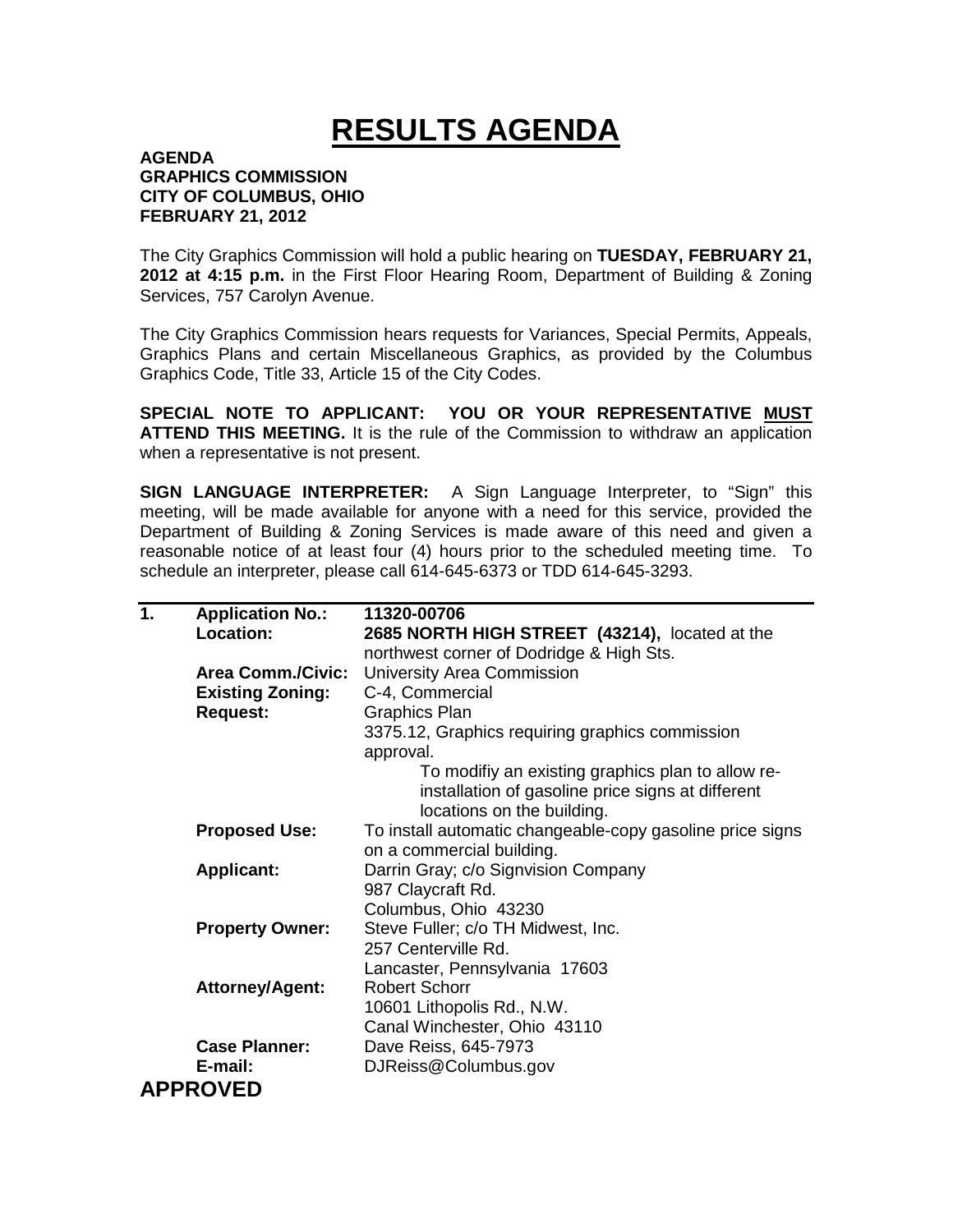## **RESULTS AGENDA**

## **AGENDA GRAPHICS COMMISSION CITY OF COLUMBUS, OHIO FEBRUARY 21, 2012**

The City Graphics Commission will hold a public hearing on **TUESDAY, FEBRUARY 21, 2012 at 4:15 p.m.** in the First Floor Hearing Room, Department of Building & Zoning Services, 757 Carolyn Avenue.

The City Graphics Commission hears requests for Variances, Special Permits, Appeals, Graphics Plans and certain Miscellaneous Graphics, as provided by the Columbus Graphics Code, Title 33, Article 15 of the City Codes.

**SPECIAL NOTE TO APPLICANT: YOU OR YOUR REPRESENTATIVE MUST ATTEND THIS MEETING.** It is the rule of the Commission to withdraw an application when a representative is not present.

**SIGN LANGUAGE INTERPRETER:** A Sign Language Interpreter, to "Sign" this meeting, will be made available for anyone with a need for this service, provided the Department of Building & Zoning Services is made aware of this need and given a reasonable notice of at least four (4) hours prior to the scheduled meeting time. To schedule an interpreter, please call 614-645-6373 or TDD 614-645-3293.

| 1. | <b>Application No.:</b>  | 11320-00706                                               |
|----|--------------------------|-----------------------------------------------------------|
|    | Location:                | 2685 NORTH HIGH STREET (43214), located at the            |
|    |                          | northwest corner of Dodridge & High Sts.                  |
|    | <b>Area Comm./Civic:</b> | University Area Commission                                |
|    | <b>Existing Zoning:</b>  | C-4, Commercial                                           |
|    | <b>Request:</b>          | <b>Graphics Plan</b>                                      |
|    |                          | 3375.12, Graphics requiring graphics commission           |
|    |                          | approval.                                                 |
|    |                          | To modifiy an existing graphics plan to allow re-         |
|    |                          | installation of gasoline price signs at different         |
|    |                          | locations on the building.                                |
|    | <b>Proposed Use:</b>     | To install automatic changeable-copy gasoline price signs |
|    |                          | on a commercial building.                                 |
|    | <b>Applicant:</b>        | Darrin Gray; c/o Signvision Company                       |
|    |                          | 987 Claycraft Rd.                                         |
|    |                          | Columbus, Ohio 43230                                      |
|    | <b>Property Owner:</b>   | Steve Fuller; c/o TH Midwest, Inc.                        |
|    |                          | 257 Centerville Rd.                                       |
|    |                          | Lancaster, Pennsylvania 17603                             |
|    | <b>Attorney/Agent:</b>   | <b>Robert Schorr</b>                                      |
|    |                          | 10601 Lithopolis Rd., N.W.                                |
|    |                          | Canal Winchester, Ohio 43110                              |
|    | <b>Case Planner:</b>     | Dave Reiss, 645-7973                                      |
|    | E-mail:                  | DJReiss@Columbus.gov                                      |
|    | <b>APPROVED</b>          |                                                           |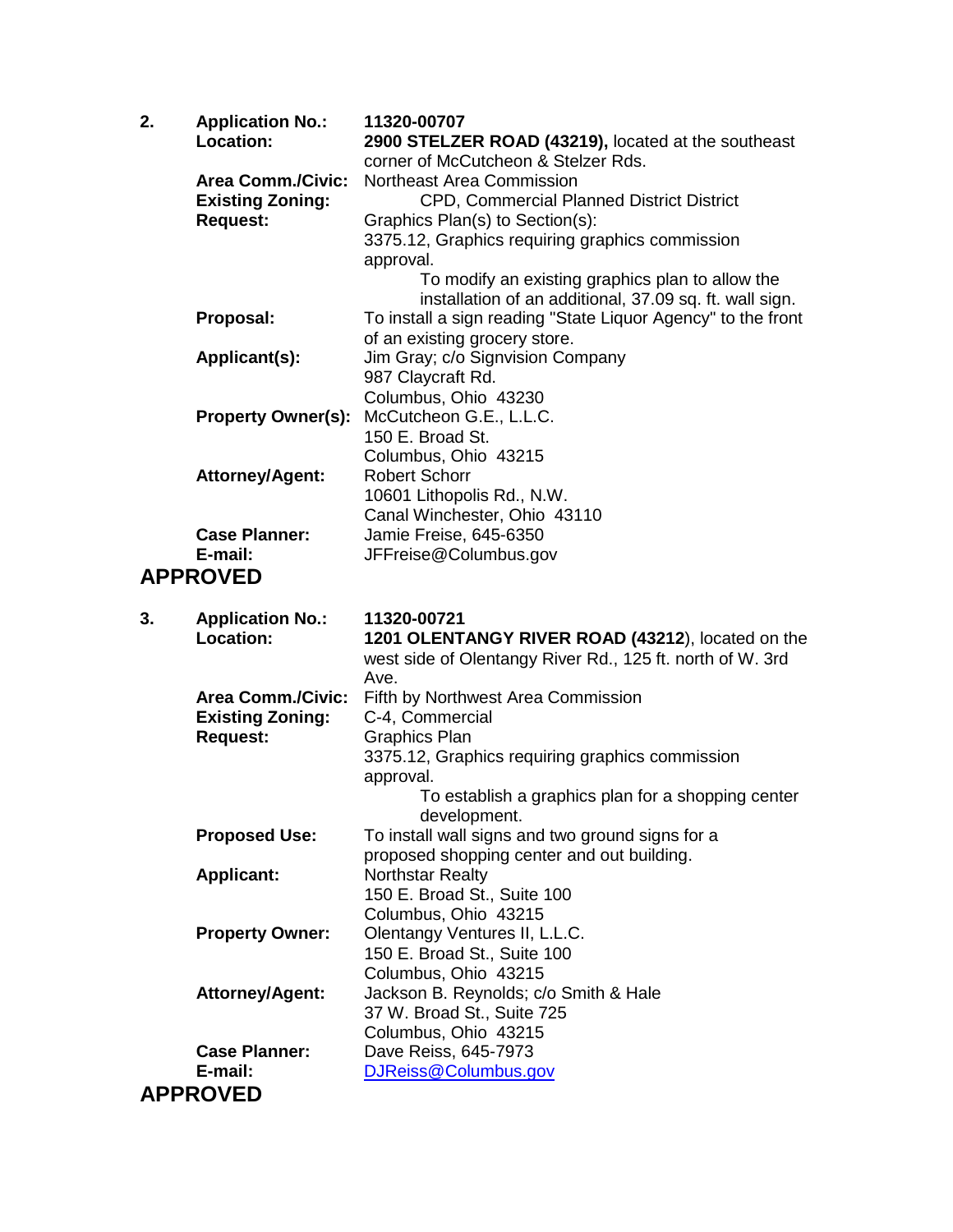| 2. | <b>Application No.:</b><br>Location:       | 11320-00707<br>2900 STELZER ROAD (43219), located at the southeast           |
|----|--------------------------------------------|------------------------------------------------------------------------------|
|    |                                            | corner of McCutcheon & Stelzer Rds.                                          |
|    | <b>Area Comm./Civic:</b>                   | <b>Northeast Area Commission</b>                                             |
|    | <b>Existing Zoning:</b><br><b>Request:</b> | CPD, Commercial Planned District District<br>Graphics Plan(s) to Section(s): |
|    |                                            | 3375.12, Graphics requiring graphics commission                              |
|    |                                            | approval.                                                                    |
|    |                                            | To modify an existing graphics plan to allow the                             |
|    |                                            | installation of an additional, 37.09 sq. ft. wall sign.                      |
|    | Proposal:                                  | To install a sign reading "State Liquor Agency" to the front                 |
|    |                                            | of an existing grocery store.                                                |
|    | Applicant(s):                              | Jim Gray; c/o Signvision Company                                             |
|    |                                            | 987 Claycraft Rd.                                                            |
|    | <b>Property Owner(s):</b>                  | Columbus, Ohio 43230<br>McCutcheon G.E., L.L.C.                              |
|    |                                            | 150 E. Broad St.                                                             |
|    |                                            | Columbus, Ohio 43215                                                         |
|    | <b>Attorney/Agent:</b>                     | <b>Robert Schorr</b>                                                         |
|    |                                            | 10601 Lithopolis Rd., N.W.                                                   |
|    |                                            | Canal Winchester, Ohio 43110                                                 |
|    | <b>Case Planner:</b>                       | Jamie Freise, 645-6350                                                       |
|    | E-mail:                                    | JFFreise@Columbus.gov                                                        |
|    | <b>APPROVED</b>                            |                                                                              |
|    |                                            |                                                                              |
| 3. |                                            | 11320-00721                                                                  |
|    | <b>Application No.:</b><br>Location:       | 1201 OLENTANGY RIVER ROAD (43212), located on the                            |
|    |                                            | west side of Olentangy River Rd., 125 ft. north of W. 3rd                    |
|    |                                            | Ave.                                                                         |
|    | <b>Area Comm./Civic:</b>                   | Fifth by Northwest Area Commission                                           |
|    | <b>Existing Zoning:</b>                    | C-4, Commercial                                                              |
|    | <b>Request:</b>                            | <b>Graphics Plan</b>                                                         |
|    |                                            | 3375.12, Graphics requiring graphics commission                              |
|    |                                            | approval.                                                                    |
|    |                                            | To establish a graphics plan for a shopping center<br>development.           |
|    | <b>Proposed Use:</b>                       | To install wall signs and two ground signs for a                             |
|    |                                            | proposed shopping center and out building.                                   |
|    | <b>Applicant:</b>                          | <b>Northstar Realty</b>                                                      |
|    |                                            | 150 E. Broad St., Suite 100                                                  |
|    |                                            | Columbus, Ohio 43215                                                         |
|    | <b>Property Owner:</b>                     | Olentangy Ventures II, L.L.C.                                                |
|    |                                            | 150 E. Broad St., Suite 100<br>Columbus, Ohio 43215                          |
|    | <b>Attorney/Agent:</b>                     | Jackson B. Reynolds; c/o Smith & Hale                                        |
|    |                                            | 37 W. Broad St., Suite 725                                                   |
|    |                                            | Columbus, Ohio 43215                                                         |
|    | <b>Case Planner:</b>                       | Dave Reiss, 645-7973                                                         |
|    | E-mail:<br><b>APPROVED</b>                 | DJReiss@Columbus.gov                                                         |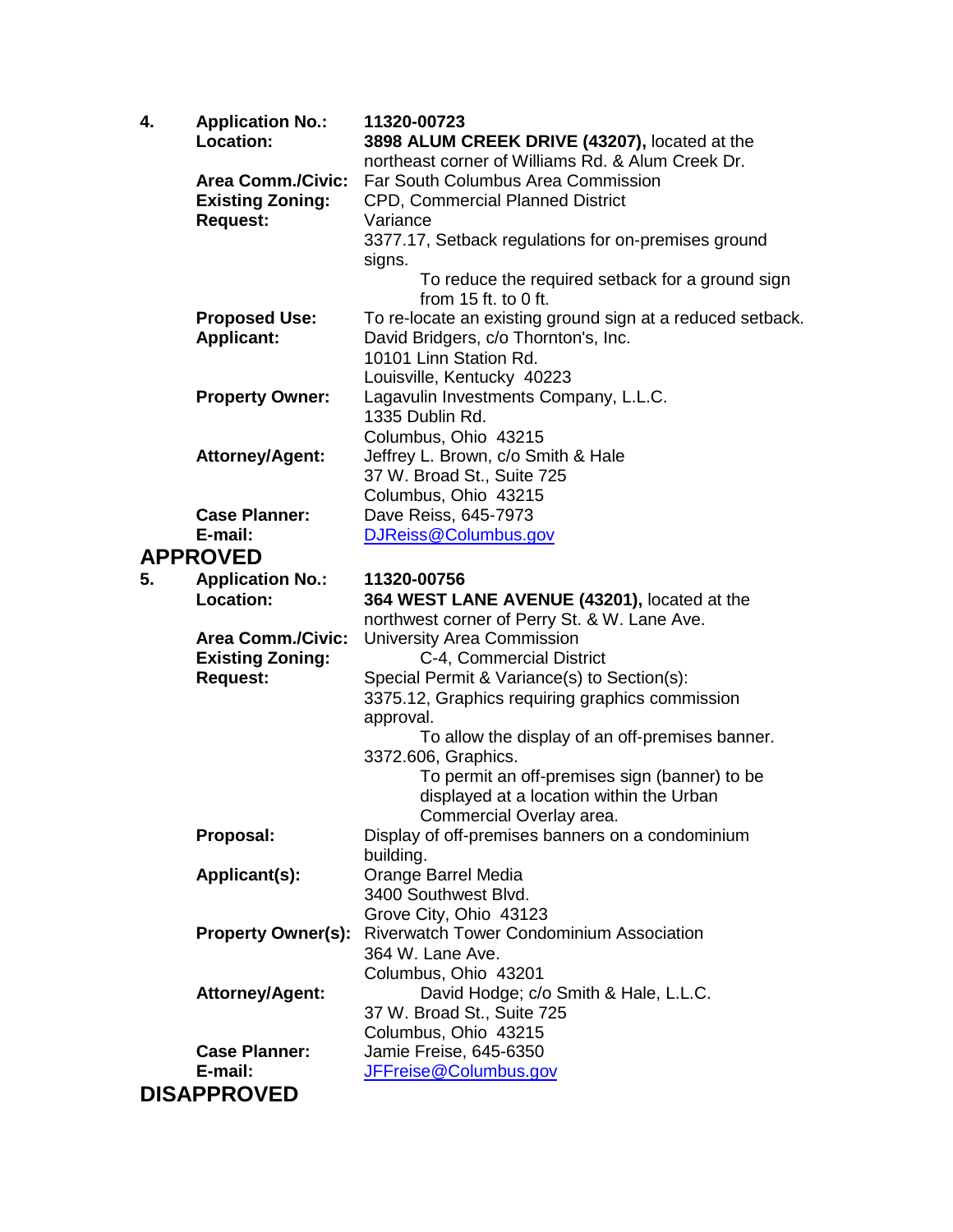| 4. | <b>Application No.:</b><br>Location: | 11320-00723<br>3898 ALUM CREEK DRIVE (43207), located at the     |
|----|--------------------------------------|------------------------------------------------------------------|
|    |                                      | northeast corner of Williams Rd. & Alum Creek Dr.                |
|    | <b>Area Comm./Civic:</b>             | <b>Far South Columbus Area Commission</b>                        |
|    | <b>Existing Zoning:</b>              | CPD, Commercial Planned District                                 |
|    | <b>Request:</b>                      | Variance                                                         |
|    |                                      | 3377.17, Setback regulations for on-premises ground              |
|    |                                      | signs.                                                           |
|    |                                      | To reduce the required setback for a ground sign                 |
|    |                                      | from $15$ ft. to 0 ft.                                           |
|    | <b>Proposed Use:</b>                 | To re-locate an existing ground sign at a reduced setback.       |
|    | <b>Applicant:</b>                    | David Bridgers, c/o Thornton's, Inc.                             |
|    |                                      | 10101 Linn Station Rd.                                           |
|    |                                      | Louisville, Kentucky 40223                                       |
|    | <b>Property Owner:</b>               | Lagavulin Investments Company, L.L.C.                            |
|    |                                      | 1335 Dublin Rd.                                                  |
|    |                                      | Columbus, Ohio 43215                                             |
|    | <b>Attorney/Agent:</b>               | Jeffrey L. Brown, c/o Smith & Hale<br>37 W. Broad St., Suite 725 |
|    |                                      | Columbus, Ohio 43215                                             |
|    | <b>Case Planner:</b>                 | Dave Reiss, 645-7973                                             |
|    | E-mail:                              | DJReiss@Columbus.gov                                             |
|    | <b>APPROVED</b>                      |                                                                  |
| 5. | <b>Application No.:</b>              | 11320-00756                                                      |
|    | Location:                            | 364 WEST LANE AVENUE (43201), located at the                     |
|    |                                      | northwest corner of Perry St. & W. Lane Ave.                     |
|    | <b>Area Comm./Civic:</b>             | <b>University Area Commission</b>                                |
|    | <b>Existing Zoning:</b>              | C-4, Commercial District                                         |
|    | <b>Request:</b>                      | Special Permit & Variance(s) to Section(s):                      |
|    |                                      | 3375.12, Graphics requiring graphics commission                  |
|    |                                      | approval.                                                        |
|    |                                      | To allow the display of an off-premises banner.                  |
|    |                                      | 3372.606, Graphics.                                              |
|    |                                      | To permit an off-premises sign (banner) to be                    |
|    |                                      | displayed at a location within the Urban                         |
|    |                                      | Commercial Overlay area.                                         |
|    | Proposal:                            | Display of off-premises banners on a condominium<br>building.    |
|    | Applicant(s):                        | Orange Barrel Media                                              |
|    |                                      | 3400 Southwest Blvd.                                             |
|    |                                      | Grove City, Ohio 43123                                           |
|    | <b>Property Owner(s):</b>            | <b>Riverwatch Tower Condominium Association</b>                  |
|    |                                      | 364 W. Lane Ave.                                                 |
|    |                                      | Columbus, Ohio 43201                                             |
|    | <b>Attorney/Agent:</b>               | David Hodge; c/o Smith & Hale, L.L.C.                            |
|    |                                      | 37 W. Broad St., Suite 725                                       |
|    |                                      | Columbus, Ohio 43215                                             |
|    | <b>Case Planner:</b>                 | Jamie Freise, 645-6350                                           |
|    | E-mail:                              | JFFreise@Columbus.gov                                            |
|    | <b>DISAPPROVED</b>                   |                                                                  |